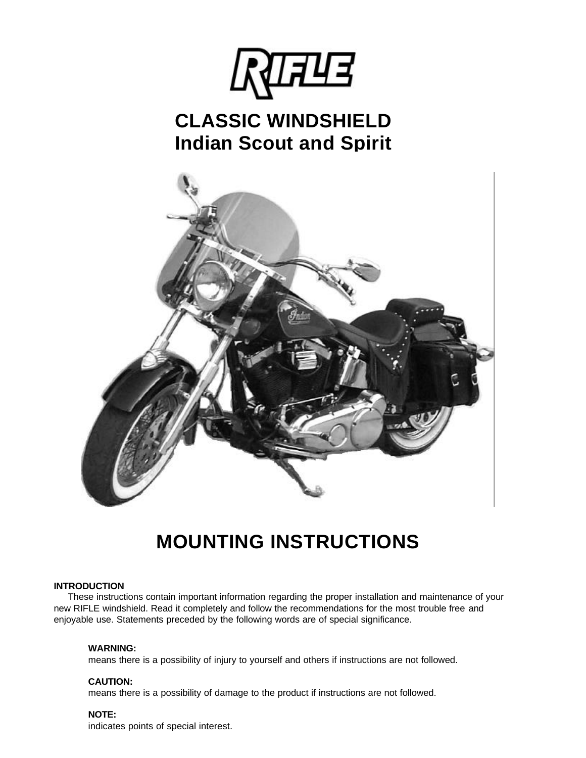

## **CLASSIC WINDSHIELD Indian Scout and Spirit**



# **MOUNTING INSTRUCTIONS**

### **INTRODUCTION**

 These instructions contain important information regarding the proper installation and maintenance of your new RIFLE windshield. Read it completely and follow the recommendations for the most trouble free and enjoyable use. Statements preceded by the following words are of special significance.

### **WARNING:**

means there is a possibility of injury to yourself and others if instructions are not followed.

### **CAUTION:**

means there is a possibility of damage to the product if instructions are not followed.

### **NOTE:**

indicates points of special interest.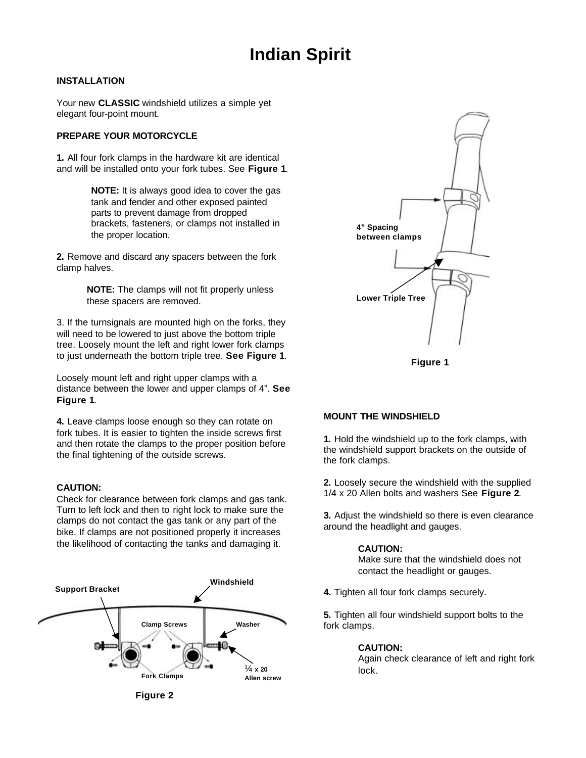## **Indian Spirit**

### **INSTALLATION**

Your new **CLASSIC** windshield utilizes a simple yet elegant four-point mount.

### **PREPARE YOUR MOTORCYCLE**

**1.** All four fork clamps in the hardware kit are identical and will be installed onto your fork tubes. See **Figure 1**.

> **NOTE:** It is always good idea to cover the gas tank and fender and other exposed painted parts to prevent damage from dropped brackets, fasteners, or clamps not installed in the proper location.

**2.** Remove and discard any spacers between the fork clamp halves.

> **NOTE:** The clamps will not fit properly unless these spacers are removed.

3. If the turnsignals are mounted high on the forks, they will need to be lowered to just above the bottom triple tree. Loosely mount the left and right lower fork clamps to just underneath the bottom triple tree. **See Figure 1**.

Loosely mount left and right upper clamps with a distance between the lower and upper clamps of 4". **See Figure 1**.

**4.** Leave clamps loose enough so they can rotate on fork tubes. It is easier to tighten the inside screws first and then rotate the clamps to the proper position before the final tightening of the outside screws.

### **CAUTION:**

Check for clearance between fork clamps and gas tank. Turn to left lock and then to right lock to make sure the clamps do not contact the gas tank or any part of the bike. If clamps are not positioned properly it increases the likelihood of contacting the tanks and damaging it.





**Figure 1**

### **MOUNT THE WINDSHIELD**

**1.** Hold the windshield up to the fork clamps, with the windshield support brackets on the outside of the fork clamps.

**2.** Loosely secure the windshield with the supplied 1/4 x 20 Allen bolts and washers See **Figure 2**.

**3.** Adjust the windshield so there is even clearance around the headlight and gauges.

#### **CAUTION:**

Make sure that the windshield does not contact the headlight or gauges.

**4.** Tighten all four fork clamps securely.

**5.** Tighten all four windshield support bolts to the fork clamps.

### **CAUTION:**

Again check clearance of left and right fork lock.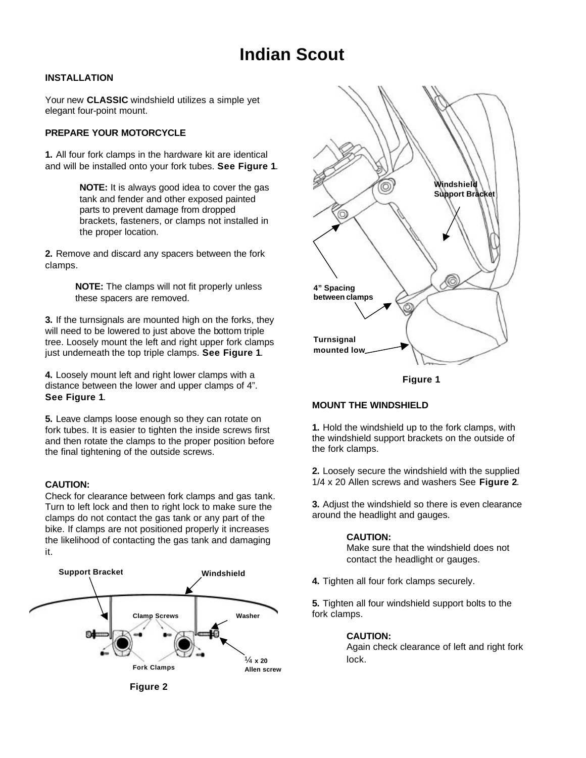### **Indian Scout**

### **INSTALLATION**

Your new **CLASSIC** windshield utilizes a simple yet elegant four-point mount.

### **PREPARE YOUR MOTORCYCLE**

**1.** All four fork clamps in the hardware kit are identical and will be installed onto your fork tubes. **See Figure 1**.

> **NOTE:** It is always good idea to cover the gas tank and fender and other exposed painted parts to prevent damage from dropped brackets, fasteners, or clamps not installed in the proper location.

**2.** Remove and discard any spacers between the fork clamps.

> **NOTE:** The clamps will not fit properly unless these spacers are removed.

**3.** If the turnsignals are mounted high on the forks, they will need to be lowered to just above the bottom triple tree. Loosely mount the left and right upper fork clamps just underneath the top triple clamps. **See Figure 1**.

**4.** Loosely mount left and right lower clamps with a distance between the lower and upper clamps of 4". **See Figure 1**.

**5.** Leave clamps loose enough so they can rotate on fork tubes. It is easier to tighten the inside screws first and then rotate the clamps to the proper position before the final tightening of the outside screws.

### **CAUTION:**

Check for clearance between fork clamps and gas tank. Turn to left lock and then to right lock to make sure the clamps do not contact the gas tank or any part of the bike. If clamps are not positioned properly it increases the likelihood of contacting the gas tank and damaging it.





**Figure 1**

### **MOUNT THE WINDSHIELD**

**1.** Hold the windshield up to the fork clamps, with the windshield support brackets on the outside of the fork clamps.

**2.** Loosely secure the windshield with the supplied 1/4 x 20 Allen screws and washers See **Figure 2**.

**3.** Adjust the windshield so there is even clearance around the headlight and gauges.

### **CAUTION:**

Make sure that the windshield does not contact the headlight or gauges.

**4.** Tighten all four fork clamps securely.

**5.** Tighten all four windshield support bolts to the fork clamps.

### **CAUTION:**

Again check clearance of left and right fork lock.

**Figure 2**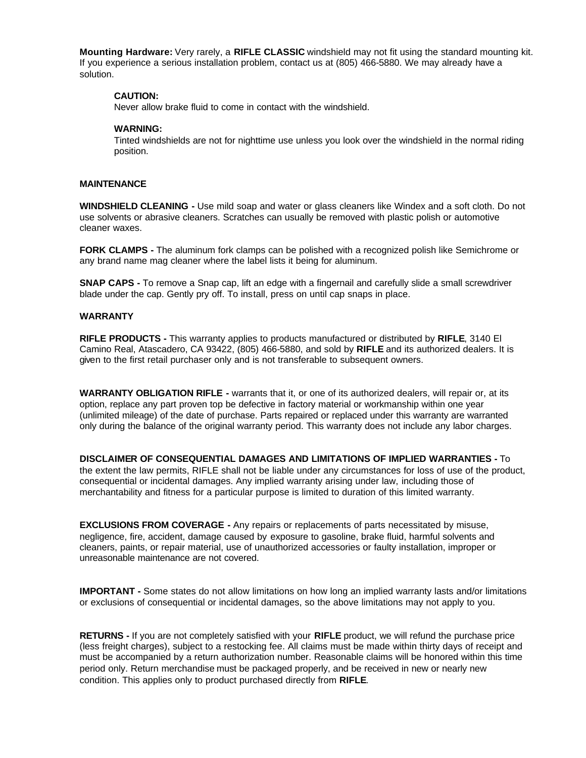**Mounting Hardware:** Very rarely, a **RIFLE CLASSIC** windshield may not fit using the standard mounting kit. If you experience a serious installation problem, contact us at (805) 466-5880. We may already have a solution.

### **CAUTION:**

Never allow brake fluid to come in contact with the windshield.

### **WARNING:**

Tinted windshields are not for nighttime use unless you look over the windshield in the normal riding position.

#### **MAINTENANCE**

**WINDSHIELD CLEANING -** Use mild soap and water or glass cleaners like Windex and a soft cloth. Do not use solvents or abrasive cleaners. Scratches can usually be removed with plastic polish or automotive cleaner waxes.

**FORK CLAMPS -** The aluminum fork clamps can be polished with a recognized polish like Semichrome or any brand name mag cleaner where the label lists it being for aluminum.

**SNAP CAPS -** To remove a Snap cap, lift an edge with a fingernail and carefully slide a small screwdriver blade under the cap. Gently pry off. To install, press on until cap snaps in place.

### **WARRANTY**

**RIFLE PRODUCTS -** This warranty applies to products manufactured or distributed by **RIFLE**, 3140 El Camino Real, Atascadero, CA 93422, (805) 466-5880, and sold by **RIFLE** and its authorized dealers. It is given to the first retail purchaser only and is not transferable to subsequent owners.

**WARRANTY OBLIGATION RIFLE -** warrants that it, or one of its authorized dealers, will repair or, at its option, replace any part proven top be defective in factory material or workmanship within one year (unlimited mileage) of the date of purchase. Parts repaired or replaced under this warranty are warranted only during the balance of the original warranty period. This warranty does not include any labor charges.

**DISCLAIMER OF CONSEQUENTIAL DAMAGES AND LIMITATIONS OF IMPLIED WARRANTIES -** To the extent the law permits, RIFLE shall not be liable under any circumstances for loss of use of the product, consequential or incidental damages. Any implied warranty arising under law, including those of merchantability and fitness for a particular purpose is limited to duration of this limited warranty.

**EXCLUSIONS FROM COVERAGE -** Any repairs or replacements of parts necessitated by misuse, negligence, fire, accident, damage caused by exposure to gasoline, brake fluid, harmful solvents and cleaners, paints, or repair material, use of unauthorized accessories or faulty installation, improper or unreasonable maintenance are not covered.

**IMPORTANT -** Some states do not allow limitations on how long an implied warranty lasts and/or limitations or exclusions of consequential or incidental damages, so the above limitations may not apply to you.

**RETURNS -** If you are not completely satisfied with your **RIFLE** product, we will refund the purchase price (less freight charges), subject to a restocking fee. All claims must be made within thirty days of receipt and must be accompanied by a return authorization number. Reasonable claims will be honored within this time period only. Return merchandise must be packaged properly, and be received in new or nearly new condition. This applies only to product purchased directly from **RIFLE**.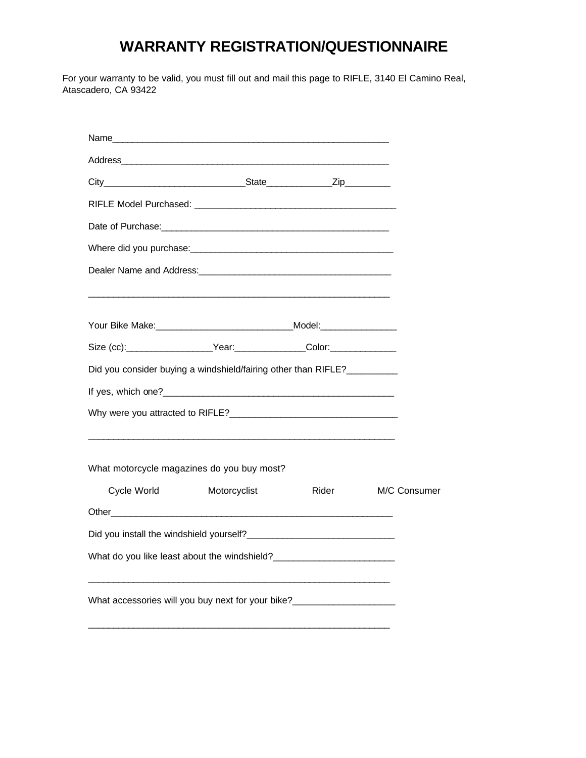### **WARRANTY REGISTRATION/QUESTIONNAIRE**

For your warranty to be valid, you must fill out and mail this page to RIFLE, 3140 El Camino Real, Atascadero, CA 93422

| Address and the contract of the contract of the contract of the contract of the contract of the contract of the |              |       |              |
|-----------------------------------------------------------------------------------------------------------------|--------------|-------|--------------|
|                                                                                                                 |              |       |              |
|                                                                                                                 |              |       |              |
|                                                                                                                 |              |       |              |
|                                                                                                                 |              |       |              |
| Dealer Name and Address: Dealer and the control of the control of the control of the control of the control of  |              |       |              |
|                                                                                                                 |              |       |              |
|                                                                                                                 |              |       |              |
|                                                                                                                 |              |       |              |
| Did you consider buying a windshield/fairing other than RIFLE?                                                  |              |       |              |
|                                                                                                                 |              |       |              |
|                                                                                                                 |              |       |              |
| What motorcycle magazines do you buy most?                                                                      |              |       |              |
| Cycle World <b>Cycle</b>                                                                                        | Motorcyclist | Rider | M/C Consumer |
| Other than the contract of the contract of the contract of the contract of the contract of the contract of the  |              |       |              |
|                                                                                                                 |              |       |              |
| What do you like least about the windshield?                                                                    |              |       |              |
| What accessories will you buy next for your bike?                                                               |              |       |              |